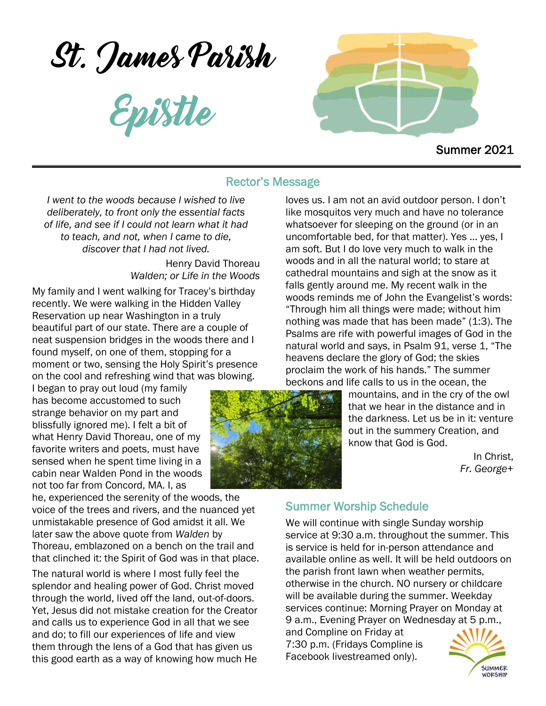St. James Parish

Epistle



Summer 2021

#### Rector's Message

*I went to the woods because I wished to live deliberately, to front only the essential facts of life, and see if I could not learn what it had to teach, and not, when I came to die, discover that I had not lived.*

> Henry David Thoreau *Walden; or Life in the Woods*

My family and I went walking for Tracey's birthday recently. We were walking in the Hidden Valley Reservation up near Washington in a truly beautiful part of our state. There are a couple of neat suspension bridges in the woods there and I found myself, on one of them, stopping for a moment or two, sensing the Holy Spirit's presence on the cool and refreshing wind that was blowing.

I began to pray out loud (my family has become accustomed to such strange behavior on my part and blissfully ignored me). I felt a bit of what Henry David Thoreau, one of my favorite writers and poets, must have sensed when he spent time living in a cabin near Walden Pond in the woods not too far from Concord, MA. I, as

he, experienced the serenity of the woods, the voice of the trees and rivers, and the nuanced yet unmistakable presence of God amidst it all. We later saw the above quote from *Walden* by Thoreau, emblazoned on a bench on the trail and that clinched it: the Spirit of God was in that place.

The natural world is where I most fully feel the splendor and healing power of God. Christ moved through the world, lived off the land, out-of-doors. Yet, Jesus did not mistake creation for the Creator and calls us to experience God in all that we see and do; to fill our experiences of life and view them through the lens of a God that has given us this good earth as a way of knowing how much He

loves us. I am not an avid outdoor person. I don't like mosquitos very much and have no tolerance whatsoever for sleeping on the ground (or in an uncomfortable bed, for that matter). Yes … yes, I am soft. But I do love very much to walk in the woods and in all the natural world; to stare at cathedral mountains and sigh at the snow as it falls gently around me. My recent walk in the woods reminds me of John the Evangelist's words: "Through him all things were made; without him nothing was made that has been made" (1:3). The Psalms are rife with powerful images of God in the natural world and says, in Psalm 91, verse 1, "The heavens declare the glory of God; the skies proclaim the work of his hands." The summer beckons and life calls to us in the ocean, the

mountains, and in the cry of the owl that we hear in the distance and in the darkness. Let us be in it: venture out in the summery Creation, and know that God is God.

> In Christ, *Fr. George*+

# Summer Worship Schedule

We will continue with single Sunday worship service at 9:30 a.m. throughout the summer. This is service is held for in-person attendance and available online as well. It will be held outdoors on the parish front lawn when weather permits, otherwise in the church. NO nursery or childcare will be available during the summer. Weekday services continue: Morning Prayer on Monday at 9 a.m., Evening Prayer on Wednesday at 5 p.m.,

and Compline on Friday at 7:30 p.m. (Fridays Compline is Facebook livestreamed only).

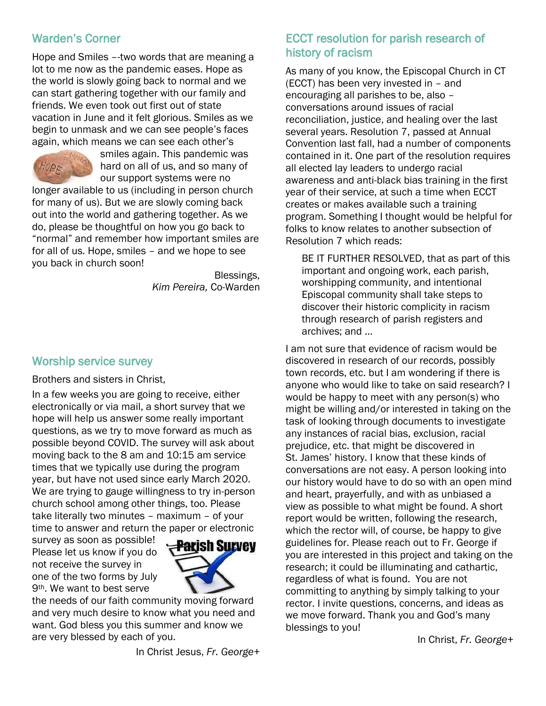# Warden's Corner

Hope and Smiles –-two words that are meaning a lot to me now as the pandemic eases. Hope as the world is slowly going back to normal and we can start gathering together with our family and friends. We even took out first out of state vacation in June and it felt glorious. Smiles as we begin to unmask and we can see people's faces again, which means we can see each other's



smiles again. This pandemic was hard on all of us, and so many of our support systems were no

longer available to us (including in person church for many of us). But we are slowly coming back out into the world and gathering together. As we do, please be thoughtful on how you go back to "normal" and remember how important smiles are for all of us. Hope, smiles – and we hope to see you back in church soon!

> Blessings, *Kim Pereira,* Co-Warden

# Worship service survey

Brothers and sisters in Christ,

In a few weeks you are going to receive, either electronically or via mail, a short survey that we hope will help us answer some really important questions, as we try to move forward as much as possible beyond COVID. The survey will ask about moving back to the 8 am and 10:15 am service times that we typically use during the program year, but have not used since early March 2020. We are trying to gauge willingness to try in-person church school among other things, too. Please take literally two minutes – maximum – of your time to answer and return the paper or electronic

survey as soon as possible! Please let us know if you do not receive the survey in one of the two forms by July 9th. We want to best serve



the needs of our faith community moving forward and very much desire to know what you need and want. God bless you this summer and know we are very blessed by each of you.

In Christ Jesus, *Fr. George+*

# ECCT resolution for parish research of history of racism

As many of you know, the Episcopal Church in CT (ECCT) has been very invested in – and encouraging all parishes to be, also – conversations around issues of racial reconciliation, justice, and healing over the last several years. Resolution 7, passed at Annual Convention last fall, had a number of components contained in it. One part of the resolution requires all elected lay leaders to undergo racial awareness and anti-black bias training in the first year of their service, at such a time when ECCT creates or makes available such a training program. Something I thought would be helpful for folks to know relates to another subsection of Resolution 7 which reads:

BE IT FURTHER RESOLVED, that as part of this important and ongoing work, each parish, worshipping community, and intentional Episcopal community shall take steps to discover their historic complicity in racism through research of parish registers and archives; and …

I am not sure that evidence of racism would be discovered in research of our records, possibly town records, etc. but I am wondering if there is anyone who would like to take on said research? I would be happy to meet with any person(s) who might be willing and/or interested in taking on the task of looking through documents to investigate any instances of racial bias, exclusion, racial prejudice, etc. that might be discovered in St. James' history. I know that these kinds of conversations are not easy. A person looking into our history would have to do so with an open mind and heart, prayerfully, and with as unbiased a view as possible to what might be found. A short report would be written, following the research, which the rector will, of course, be happy to give guidelines for. Please reach out to Fr. George if you are interested in this project and taking on the research; it could be illuminating and cathartic, regardless of what is found. You are not committing to anything by simply talking to your rector. I invite questions, concerns, and ideas as we move forward. Thank you and God's many blessings to you!

In Christ, *Fr. George+*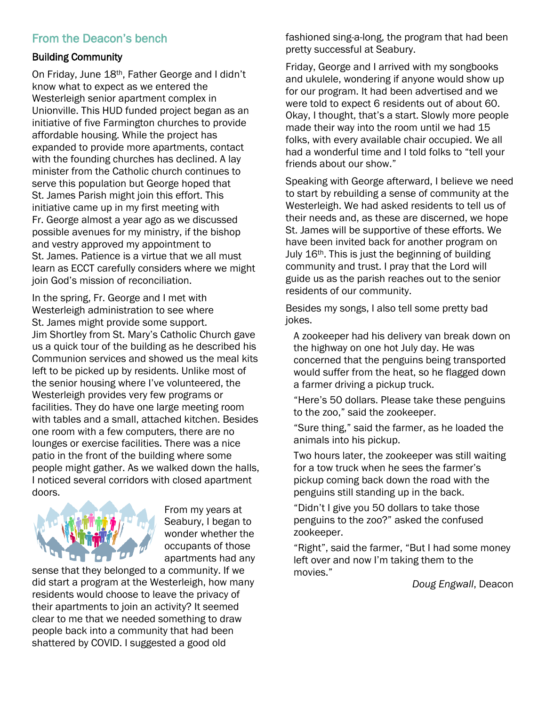# From the Deacon's bench

#### Building Community

On Friday, June 18th, Father George and I didn't know what to expect as we entered the Westerleigh senior apartment complex in Unionville. This HUD funded project began as an initiative of five Farmington churches to provide affordable housing. While the project has expanded to provide more apartments, contact with the founding churches has declined. A lay minister from the Catholic church continues to serve this population but George hoped that St. James Parish might join this effort. This initiative came up in my first meeting with Fr. George almost a year ago as we discussed possible avenues for my ministry, if the bishop and vestry approved my appointment to St. James. Patience is a virtue that we all must learn as ECCT carefully considers where we might join God's mission of reconciliation.

In the spring, Fr. George and I met with Westerleigh administration to see where St. James might provide some support. Jim Shortley from St. Mary's Catholic Church gave us a quick tour of the building as he described his Communion services and showed us the meal kits left to be picked up by residents. Unlike most of the senior housing where I've volunteered, the Westerleigh provides very few programs or facilities. They do have one large meeting room with tables and a small, attached kitchen. Besides one room with a few computers, there are no lounges or exercise facilities. There was a nice patio in the front of the building where some people might gather. As we walked down the halls, I noticed several corridors with closed apartment doors.



From my years at Seabury, I began to wonder whether the occupants of those apartments had any

sense that they belonged to a community. If we did start a program at the Westerleigh, how many residents would choose to leave the privacy of their apartments to join an activity? It seemed clear to me that we needed something to draw people back into a community that had been shattered by COVID. I suggested a good old

fashioned sing-a-long, the program that had been pretty successful at Seabury.

Friday, George and I arrived with my songbooks and ukulele, wondering if anyone would show up for our program. It had been advertised and we were told to expect 6 residents out of about 60. Okay, I thought, that's a start. Slowly more people made their way into the room until we had 15 folks, with every available chair occupied. We all had a wonderful time and I told folks to "tell your friends about our show."

Speaking with George afterward, I believe we need to start by rebuilding a sense of community at the Westerleigh. We had asked residents to tell us of their needs and, as these are discerned, we hope St. James will be supportive of these efforts. We have been invited back for another program on July 16<sup>th</sup>. This is just the beginning of building community and trust. I pray that the Lord will guide us as the parish reaches out to the senior residents of our community.

Besides my songs, I also tell some pretty bad jokes.

A zookeeper had his delivery van break down on the highway on one hot July day. He was concerned that the penguins being transported would suffer from the heat, so he flagged down a farmer driving a pickup truck.

"Here's 50 dollars. Please take these penguins to the zoo," said the zookeeper.

"Sure thing," said the farmer, as he loaded the animals into his pickup.

Two hours later, the zookeeper was still waiting for a tow truck when he sees the farmer's pickup coming back down the road with the penguins still standing up in the back.

"Didn't I give you 50 dollars to take those penguins to the zoo?" asked the confused zookeeper.

"Right", said the farmer, "But I had some money left over and now I'm taking them to the movies."

*Doug Engwall*, Deacon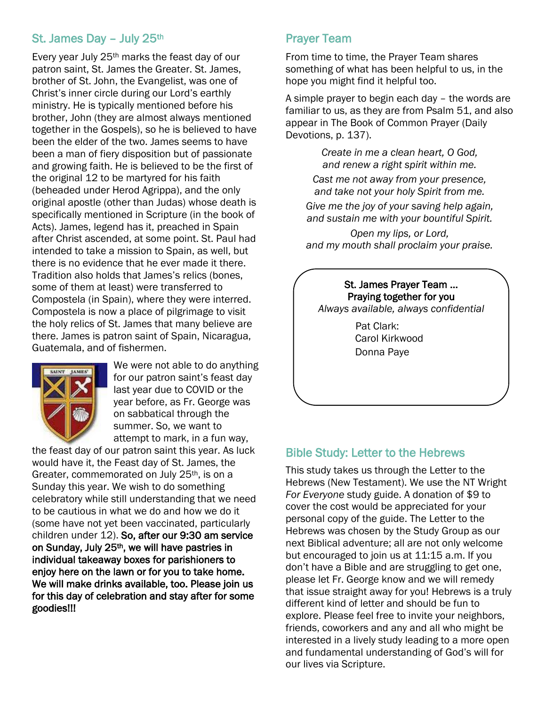### St. James Day - July 25th

Every year July 25th marks the feast day of our patron saint, St. James the Greater. St. James, brother of St. John, the Evangelist, was one of Christ's inner circle during our Lord's earthly ministry. He is typically mentioned before his brother, John (they are almost always mentioned together in the Gospels), so he is believed to have been the elder of the two. James seems to have been a man of fiery disposition but of passionate and growing faith. He is believed to be the first of the original 12 to be martyred for his faith (beheaded under Herod Agrippa), and the only original apostle (other than Judas) whose death is specifically mentioned in Scripture (in the book of Acts). James, legend has it, preached in Spain after Christ ascended, at some point. St. Paul had intended to take a mission to Spain, as well, but there is no evidence that he ever made it there. Tradition also holds that James's relics (bones, some of them at least) were transferred to Compostela (in Spain), where they were interred. Compostela is now a place of pilgrimage to visit the holy relics of St. James that many believe are there. James is patron saint of Spain, Nicaragua, Guatemala, and of fishermen.



We were not able to do anything for our patron saint's feast day last year due to COVID or the year before, as Fr. George was on sabbatical through the summer. So, we want to attempt to mark, in a fun way,

the feast day of our patron saint this year. As luck would have it, the Feast day of St. James, the Greater, commemorated on July 25<sup>th</sup>, is on a Sunday this year. We wish to do something celebratory while still understanding that we need to be cautious in what we do and how we do it (some have not yet been vaccinated, particularly children under 12). So, after our 9:30 am service on Sunday, July 25th, we will have pastries in individual takeaway boxes for parishioners to enjoy here on the lawn or for you to take home. We will make drinks available, too. Please join us for this day of celebration and stay after for some goodies!!!

# Prayer Team

From time to time, the Prayer Team shares something of what has been helpful to us, in the hope you might find it helpful too.

A simple prayer to begin each day – the words are familiar to us, as they are from Psalm 51, and also appear in The Book of Common Prayer (Daily Devotions, p. 137).

> *Create in me a clean heart, O God, and renew a right spirit within me.*

*Cast me not away from your presence, and take not your holy Spirit from me.*

*Give me the joy of your saving help again, and sustain me with your bountiful Spirit.*

*Open my lips, or Lord, and my mouth shall proclaim your praise.*

St. James Prayer Team … Praying together for you *Always available, always confidential* Pat Clark: Carol Kirkwood Donna Paye

# Bible Study: Letter to the Hebrews

This study takes us through the Letter to the Hebrews (New Testament). We use the NT Wright *For Everyone* study guide. A donation of \$9 to cover the cost would be appreciated for your personal copy of the guide. The Letter to the Hebrews was chosen by the Study Group as our next Biblical adventure; all are not only welcome but encouraged to join us at 11:15 a.m. If you don't have a Bible and are struggling to get one, please let Fr. George know and we will remedy that issue straight away for you! Hebrews is a truly different kind of letter and should be fun to explore. Please feel free to invite your neighbors, friends, coworkers and any and all who might be interested in a lively study leading to a more open and fundamental understanding of God's will for our lives via Scripture.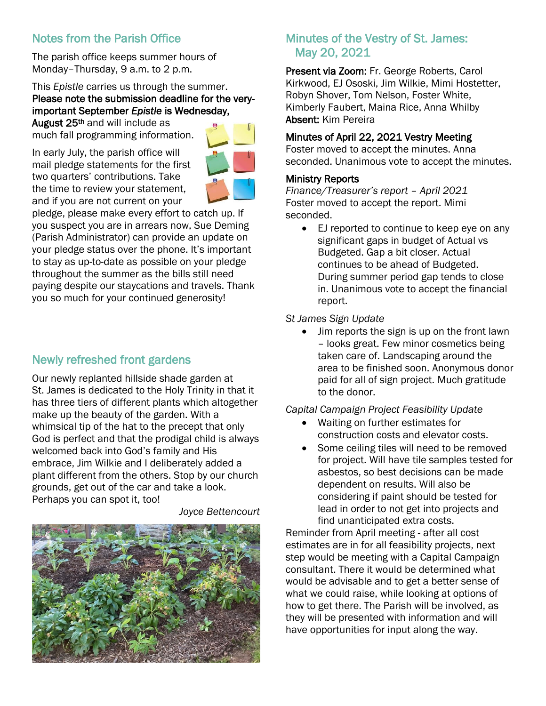# Notes from the Parish Office

The parish office keeps summer hours of Monday–Thursday, 9 a.m. to 2 p.m.

This *Epistle* carries us through the summer. Please note the submission deadline for the veryimportant September *Epistle* is Wednesday,

August 25<sup>th</sup> and will include as much fall programming information.

In early July, the parish office will mail pledge statements for the first two quarters' contributions. Take the time to review your statement, and if you are not current on your



pledge, please make every effort to catch up. If you suspect you are in arrears now, Sue Deming (Parish Administrator) can provide an update on your pledge status over the phone. It's important to stay as up-to-date as possible on your pledge throughout the summer as the bills still need paying despite our staycations and travels. Thank you so much for your continued generosity!

# Newly refreshed front gardens

Our newly replanted hillside shade garden at St. James is dedicated to the Holy Trinity in that it has three tiers of different plants which altogether make up the beauty of the garden. With a whimsical tip of the hat to the precept that only God is perfect and that the prodigal child is always welcomed back into God's family and His embrace, Jim Wilkie and I deliberately added a plant different from the others. Stop by our church grounds, get out of the car and take a look. Perhaps you can spot it, too!



*Joyce Bettencourt*

# Minutes of the Vestry of St. James: May 20, 2021

Present via Zoom: Fr. George Roberts, Carol Kirkwood, EJ Ososki, Jim Wilkie, Mimi Hostetter, Robyn Shover, Tom Nelson, Foster White, Kimberly Faubert, Maina Rice, Anna Whilby Absent: Kim Pereira

#### Minutes of April 22, 2021 Vestry Meeting

Foster moved to accept the minutes. Anna seconded. Unanimous vote to accept the minutes.

#### Ministry Reports

*Finance/Treasurer's report – April 2021* Foster moved to accept the report. Mimi seconded.

 EJ reported to continue to keep eye on any significant gaps in budget of Actual vs Budgeted. Gap a bit closer. Actual continues to be ahead of Budgeted. During summer period gap tends to close in. Unanimous vote to accept the financial report.

#### *St James Sign Update*

• Jim reports the sign is up on the front lawn – looks great. Few minor cosmetics being taken care of. Landscaping around the area to be finished soon. Anonymous donor paid for all of sign project. Much gratitude to the donor.

#### *Capital Campaign Project Feasibility Update*

- Waiting on further estimates for construction costs and elevator costs.
- Some ceiling tiles will need to be removed for project. Will have tile samples tested for asbestos, so best decisions can be made dependent on results. Will also be considering if paint should be tested for lead in order to not get into projects and find unanticipated extra costs.

Reminder from April meeting - after all cost estimates are in for all feasibility projects, next step would be meeting with a Capital Campaign consultant. There it would be determined what would be advisable and to get a better sense of what we could raise, while looking at options of how to get there. The Parish will be involved, as they will be presented with information and will have opportunities for input along the way.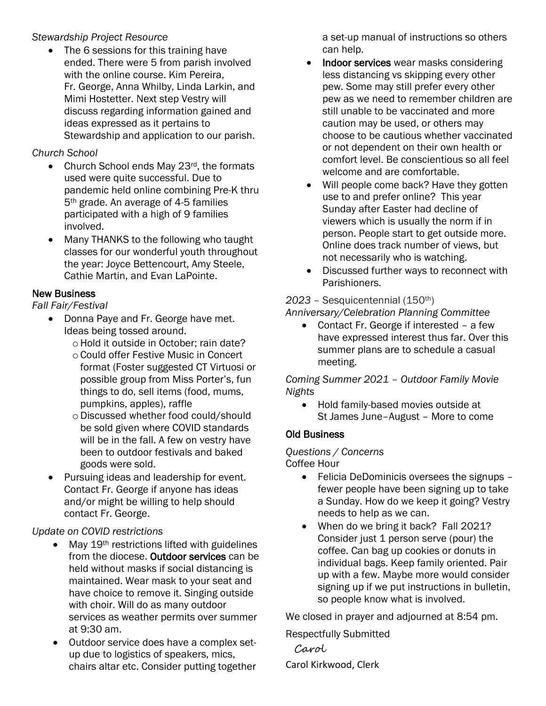#### *Stewardship Project Resource*

• The 6 sessions for this training have ended. There were 5 from parish involved with the online course. Kim Pereira, Fr. George, Anna Whilby, Linda Larkin, and Mimi Hostetter. Next step Vestry will discuss regarding information gained and ideas expressed as it pertains to Stewardship and application to our parish.

# *Church School*

- Church School ends May 23rd, the formats used were quite successful. Due to pandemic held online combining Pre-K thru 5th grade. An average of 4-5 families participated with a high of 9 families involved.
- Many THANKS to the following who taught classes for our wonderful youth throughout the year: Joyce Bettencourt, Amy Steele, Cathie Martin, and Evan LaPointe.

# New Business

# *Fall Fair/Festival*

- Donna Paye and Fr. George have met. Ideas being tossed around.
	- o Hold it outside in October; rain date?
	- oCould offer Festive Music in Concert format (Foster suggested CT Virtuosi or possible group from Miss Porter's, fun things to do, sell items (food, mums, pumpkins, apples), raffle
	- oDiscussed whether food could/should be sold given where COVID standards will be in the fall. A few on vestry have been to outdoor festivals and baked goods were sold.
- Pursuing ideas and leadership for event. Contact Fr. George if anyone has ideas and/or might be willing to help should contact Fr. George.

# *Update on COVID restrictions*

- May 19th restrictions lifted with guidelines from the diocese. Outdoor services can be held without masks if social distancing is maintained. Wear mask to your seat and have choice to remove it. Singing outside with choir. Will do as many outdoor services as weather permits over summer at 9:30 am.
- Outdoor service does have a complex setup due to logistics of speakers, mics, chairs altar etc. Consider putting together

a set-up manual of instructions so others can help.

- Indoor services wear masks considering less distancing vs skipping every other pew. Some may still prefer every other pew as we need to remember children are still unable to be vaccinated and more caution may be used, or others may choose to be cautious whether vaccinated or not dependent on their own health or comfort level. Be conscientious so all feel welcome and are comfortable.
- Will people come back? Have they gotten use to and prefer online? This year Sunday after Easter had decline of viewers which is usually the norm if in person. People start to get outside more. Online does track number of views, but not necessarily who is watching.
- Discussed further ways to reconnect with Parishioners.

#### *2023 –* Sesquicentennial (150th) *Anniversary/Celebration Planning Committee*

 Contact Fr. George if interested – a few have expressed interest thus far. Over this summer plans are to schedule a casual meeting.

*Coming Summer 2021 – Outdoor Family Movie Nights*

• Hold family-based movies outside at St James June–August – More to come

# Old Business

#### *Questions / Concerns*  Coffee Hour

- Felicia DeDominicis oversees the signups fewer people have been signing up to take a Sunday. How do we keep it going? Vestry needs to help as we can.
- When do we bring it back? Fall 2021? Consider just 1 person serve (pour) the coffee. Can bag up cookies or donuts in individual bags. Keep family oriented. Pair up with a few. Maybe more would consider signing up if we put instructions in bulletin, so people know what is involved.

We closed in prayer and adjourned at 8:54 pm.

Respectfully Submitted

 Carol Carol Kirkwood, Clerk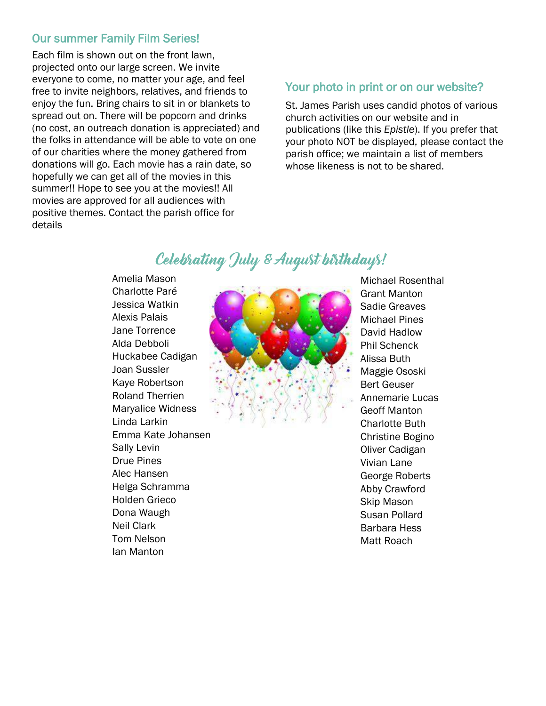#### Our summer Family Film Series!

Each film is shown out on the front lawn, projected onto our large screen. We invite everyone to come, no matter your age, and feel free to invite neighbors, relatives, and friends to enjoy the fun. Bring chairs to sit in or blankets to spread out on. There will be popcorn and drinks (no cost, an outreach donation is appreciated) and the folks in attendance will be able to vote on one of our charities where the money gathered from donations will go. Each movie has a rain date, so hopefully we can get all of the movies in this summer!! Hope to see you at the movies!! All movies are approved for all audiences with positive themes. Contact the parish office for details

# Your photo in print or on our website?

St. James Parish uses candid photos of various church activities on our website and in publications (like this *Epistle*). If you prefer that your photo NOT be displayed, please contact the parish office; we maintain a list of members whose likeness is not to be shared.

# Celebrating July & August birthdays!

Amelia Mason Charlotte Paré Jessica Watkin Alexis Palais Jane Torrence Alda Debboli Huckabee Cadigan Joan Sussler Kaye Robertson Roland Therrien Maryalice Widness Linda Larkin Emma Kate Johansen Sally Levin Drue Pines Alec Hansen Helga Schramma Holden Grieco Dona Waugh Neil Clark Tom Nelson Ian Manton



Michael Rosenthal Grant Manton Sadie Greaves Michael Pines David Hadlow Phil Schenck Alissa Buth Maggie Ososki Bert Geuser Annemarie Lucas Geoff Manton Charlotte Buth Christine Bogino Oliver Cadigan Vivian Lane George Roberts Abby Crawford Skip Mason Susan Pollard Barbara Hess Matt Roach